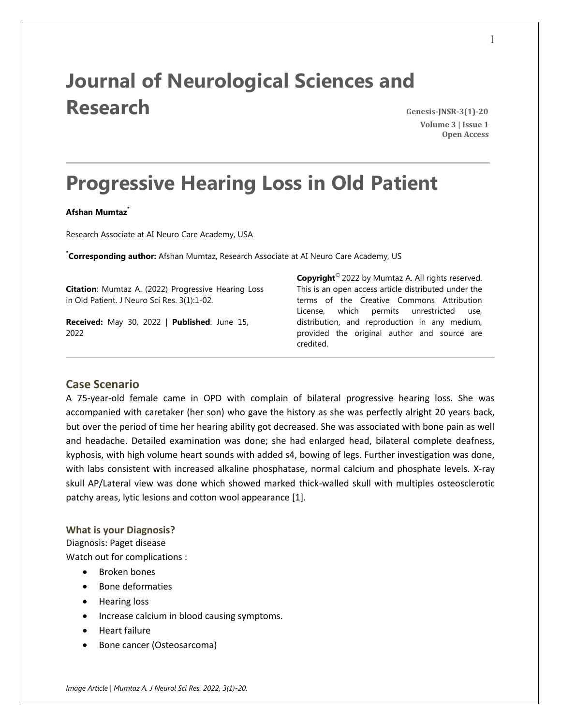# **Journal of Neurological Sciences and Research Genesis-JNSR-3(1)-20**

 **Volume 3 | Issue 1 Open Access**

# **Progressive Hearing Loss in Old Patient**

#### **Afshan Mumtaz\***

Research Associate at AI Neuro Care Academy, USA

**\* Corresponding author:** Afshan Mumtaz, Research Associate at AI Neuro Care Academy, US

**Citation**: Mumtaz A. (2022) Progressive Hearing Loss in Old Patient. J Neuro Sci Res. 3(1):1-02.

**Received:** May 30, 2022 | **Published**: June 15, 2022

**Copyright**© 2022 by Mumtaz A. All rights reserved. This is an open access article distributed under the terms of the Creative Commons Attribution License, which permits unrestricted use, distribution, and reproduction in any medium, provided the original author and source are credited.

### **Case Scenario**

A 75-year-old female came in OPD with complain of bilateral progressive hearing loss. She was accompanied with caretaker (her son) who gave the history as she was perfectly alright 20 years back, but over the period of time her hearing ability got decreased. She was associated with bone pain as well and headache. Detailed examination was done; she had enlarged head, bilateral complete deafness, kyphosis, with high volume heart sounds with added s4, bowing of legs. Further investigation was done, with labs consistent with increased alkaline phosphatase, normal calcium and phosphate levels. X-ray skull AP/Lateral view was done which showed marked thick-walled skull with multiples osteosclerotic patchy areas, lytic lesions and cotton wool appearance [1].

#### **What is your Diagnosis?**

Diagnosis: Paget disease

Watch out for complications :

- Broken bones
- Bone deformaties
- Hearing loss
- Increase calcium in blood causing symptoms.
- **•** Heart failure
- Bone cancer (Osteosarcoma)